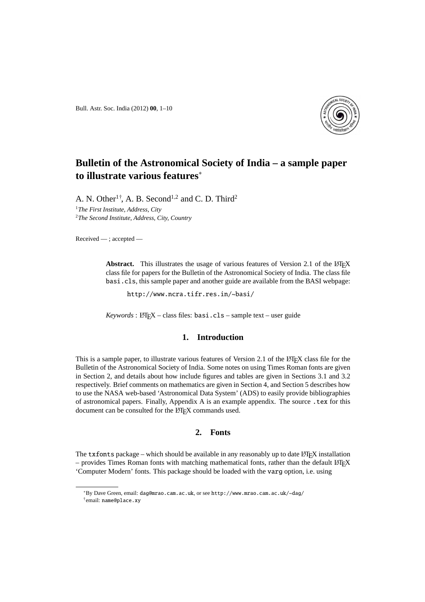Bull. Astr. Soc. India (2012) **00**, 1–10



# **Bulletin of the Astronomical Society of India – a sample paper to illustrate various features**<sup>∗</sup>

A. N. Other<sup>1†</sup>, A. B. Second<sup>1,2</sup> and C. D. Third<sup>2</sup> <sup>1</sup>*The First Institute, Address, City* <sup>2</sup>*The Second Institute, Address, City, Country*

Received — ; accepted —

**Abstract.** This illustrates the usage of various features of Version 2.1 of the LATEX class file for papers for the Bulletin of the Astronomical Society of India. The class file basi.cls, this sample paper and another guide are available from the BASI webpage:

http://www.ncra.tifr.res.in/~basi/

Keywords: L<sup>AT</sup>EX – class files: basi.cls – sample text – user guide

# **1. Introduction**

This is a sample paper, to illustrate various features of Version 2.1 of the  $E$ FEX class file for the Bulletin of the Astronomical Society of India. Some notes on using Times Roman fonts are given in Section 2, and details about how include figures and tables are given in Sections 3.1 and 3.2 respectively. Brief comments on mathematics are given in Section 4, and Section 5 describes how to use the NASA web-based 'Astronomical Data System' (ADS) to easily provide bibliographies of astronomical papers. Finally, Appendix A is an example appendix. The source .tex for this document can be consulted for the LATEX commands used.

# **2. Fonts**

The  $tx$  fonts package – which should be available in any reasonably up to date LATEX installation  $-$  provides Times Roman fonts with matching mathematical fonts, rather than the default LATEX 'Computer Modern' fonts. This package should be loaded with the varg option, i.e. using

<sup>∗</sup>By Dave Green, email: dag@mrao.cam.ac.uk, or see http://www.mrao.cam.ac.uk/~dag/ † email: name@place.xy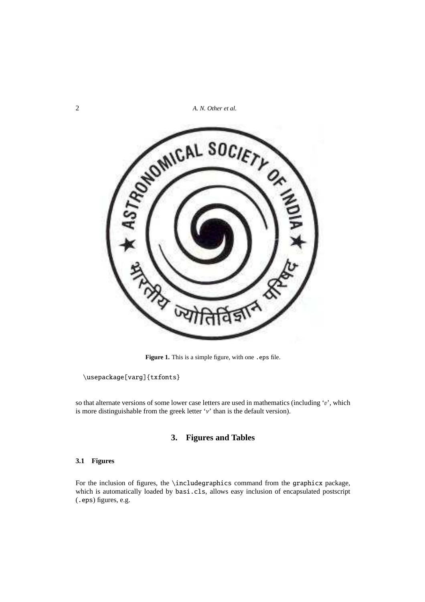2 *A. N. Other et al.*



Figure 1. This is a simple figure, with one . eps file.

\usepackage[varg]{txfonts}

so that alternate versions of some lower case letters are used in mathematics (including 'v', which is more distinguishable from the greek letter ' $\nu$ ' than is the default version).

# **3. Figures and Tables**

### **3.1 Figures**

For the inclusion of figures, the \includegraphics command from the graphicx package, which is automatically loaded by basi.cls, allows easy inclusion of encapsulated postscript (.eps) figures, e.g.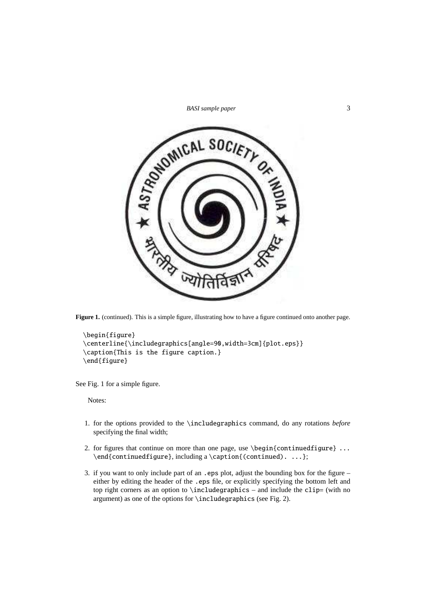



Figure 1. (continued). This is a simple figure, illustrating how to have a figure continued onto another page.

```
\begin{figure}
\centerline{\includegraphics[angle=90,width=3cm]{plot.eps}}
\caption{This is the figure caption.}
\end{figure}
```
See Fig. 1 for a simple figure.

Notes:

- 1. for the options provided to the \includegraphics command, do any rotations *before* specifying the final width;
- 2. for figures that continue on more than one page, use \begin{continuedfigure} ... \end{continuedfigure}, including a \caption{(continued). ...};
- 3. if you want to only include part of an .eps plot, adjust the bounding box for the figure either by editing the header of the .eps file, or explicitly specifying the bottom left and top right corners as an option to  $\includegraphics[width=0.5\columnwidth]{p/error}$  and include the clip= (with no argument) as one of the options for \includegraphics (see Fig. 2).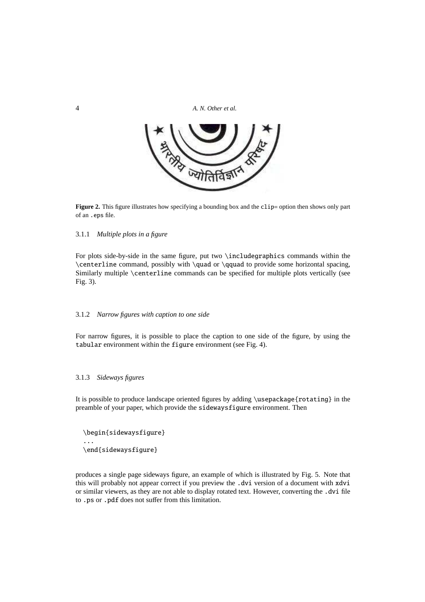4 *A. N. Other et al.*



Figure 2. This figure illustrates how specifying a bounding box and the clip= option then shows only part of an .eps file.

#### 3.1.1 *Multiple plots in a figure*

For plots side-by-side in the same figure, put two \includegraphics commands within the \centerline command, possibly with \quad or \qquad to provide some horizontal spacing, Similarly multiple \centerline commands can be specified for multiple plots vertically (see Fig. 3).

#### 3.1.2 *Narrow figures with caption to one side*

For narrow figures, it is possible to place the caption to one side of the figure, by using the tabular environment within the figure environment (see Fig. 4).

#### 3.1.3 *Sideways figures*

It is possible to produce landscape oriented figures by adding \usepackage{rotating} in the preamble of your paper, which provide the sidewaysfigure environment. Then

\begin{sidewaysfigure} ... \end{sidewaysfigure}

produces a single page sideways figure, an example of which is illustrated by Fig. 5. Note that this will probably not appear correct if you preview the .dvi version of a document with xdvi or similar viewers, as they are not able to display rotated text. However, converting the .dvi file to .ps or .pdf does not suffer from this limitation.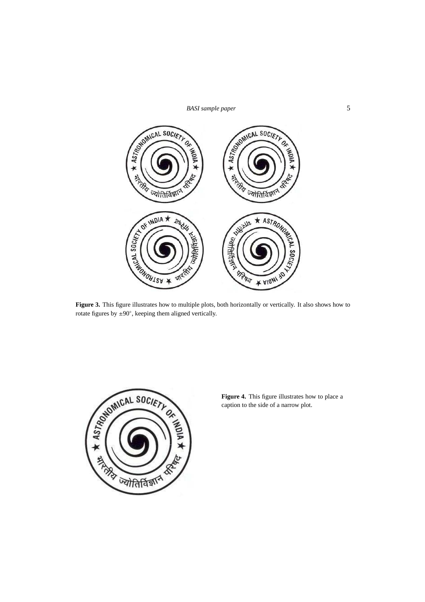# *BASI sample paper* 5



**Figure 3.** This figure illustrates how to multiple plots, both horizontally or vertically. It also shows how to rotate figures by ±90◦ , keeping them aligned vertically.



**Figure 4.** This figure illustrates how to place a caption to the side of a narrow plot.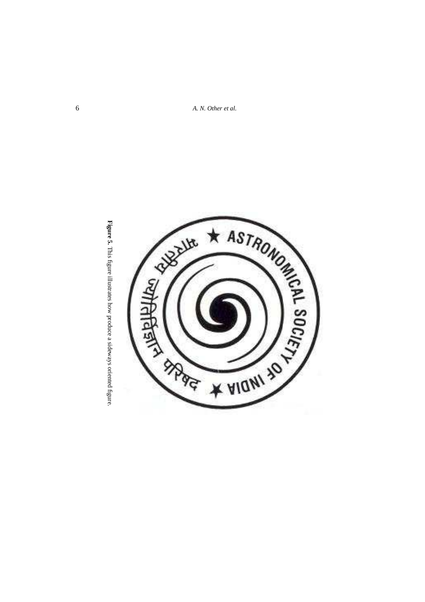6 *A. N. Other et al.*



**Figure 5.** This figure illustrates how produce a sideways oriented figure. This figure illustrates how produce a sideways oriented figure.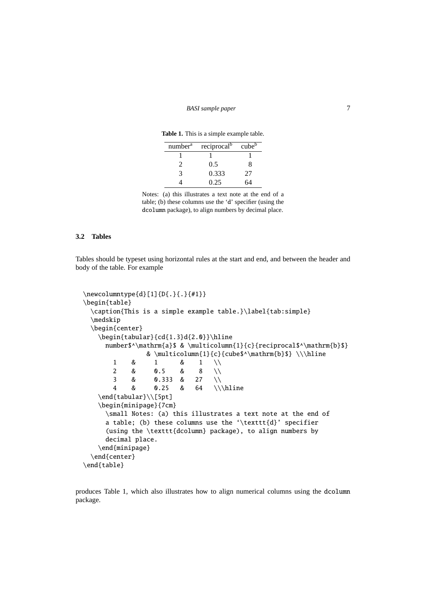**Table 1.** This is a simple example table.

| number <sup>a</sup> | reciprocal <sup>b</sup> | cube <sup>b</sup> |
|---------------------|-------------------------|-------------------|
|                     |                         |                   |
| $\gamma$            | 0.5                     | x                 |
| 2                   | 0.333                   | 27                |
|                     | 0.25                    |                   |

Notes: (a) this illustrates a text note at the end of a table; (b) these columns use the 'd' specifier (using the dcolumn package), to align numbers by decimal place.

#### **3.2 Tables**

Tables should be typeset using horizontal rules at the start and end, and between the header and body of the table. For example

```
\newcolumntype{d}[1]{D{.}{.}{#1}}
\begin{table}
  \caption{This is a simple example table.}\label{tab:simple}
  \medskip
  \begin{center}
   \begin{tabular}{cd{1.3}d{2.0}}\hline
     number$^\mathrm{a}$ & \multicolumn{1}{c}{reciprocal$^\mathrm{b}$}
               & \multicolumn{1}{c}{cube$^\mathrm{b}$} \\\hline
       1 & 1 & 1 \\
       2 & 0.5 & 8 \\
       3 & 0.333 & 27 \\
       4 & 0.25 & 64 \\\hline
   \end{tabular}\\[5pt]
   \begin{minipage}{7cm}
     \small Notes: (a) this illustrates a text note at the end of
     a table; (b) these columns use the '\texttt{d}' specifier
     (using the \texttt{dcolumn} package), to align numbers by
     decimal place.
   \end{minipage}
  \end{center}
\end{table}
```
produces Table 1, which also illustrates how to align numerical columns using the dcolumn package.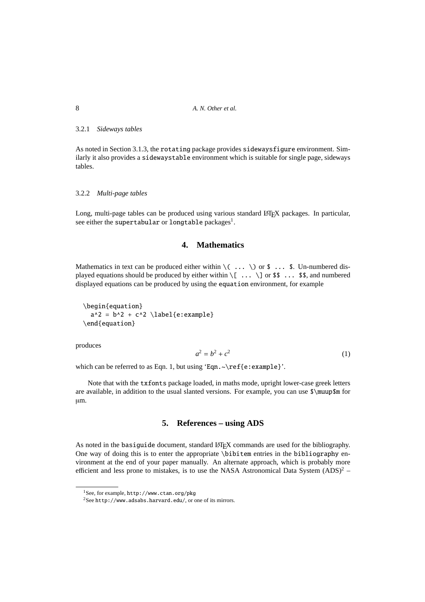#### 3.2.1 *Sideways tables*

As noted in Section 3.1.3, the rotating package provides sidewaysfigure environment. Similarly it also provides a sidewaystable environment which is suitable for single page, sideways tables.

### 3.2.2 *Multi-page tables*

Long, multi-page tables can be produced using various standard LATEX packages. In particular, see either the supertabular or longtable packages<sup>1</sup>.

# **4. Mathematics**

Mathematics in text can be produced either within  $\setminus$  ...  $\setminus$  or \$ ... \$. Un-numbered displayed equations should be produced by either within  $\[\ \ldots \ \]$  or \$\$ ... \$\$, and numbered displayed equations can be produced by using the equation environment, for example

\begin{equation}  $a^2 = b^2 + c^2 \ \label{eq:1}$  a^2 = b^2 + c^2  $\label{eq:1}$  label{e:example} \end{equation}

produces

$$
a^2 = b^2 + c^2 \tag{1}
$$

which can be referred to as Eqn. 1, but using 'Eqn. ~\ref{e:example}'.

Note that with the txfonts package loaded, in maths mode, upright lower-case greek letters are available, in addition to the usual slanted versions. For example, you can use \$\muup\$m for µm.

### **5. References – using ADS**

As noted in the basiguide document, standard LATEX commands are used for the bibliography. One way of doing this is to enter the appropriate \bibitem entries in the bibliography environment at the end of your paper manually. An alternate approach, which is probably more efficient and less prone to mistakes, is to use the NASA Astronomical Data System  $(ADS)^2$  –

<sup>1</sup>See, for example, http://www.ctan.org/pkg

 $2$ See http://www.adsabs.harvard.edu/, or one of its mirrors.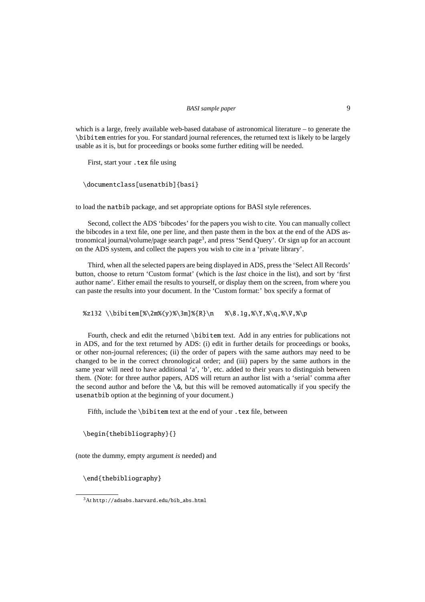*BASI sample paper* 9

which is a large, freely available web-based database of astronomical literature – to generate the \bibitem entries for you. For standard journal references, the returned text is likely to be largely usable as it is, but for proceedings or books some further editing will be needed.

First, start your .tex file using

```
\documentclass[usenatbib]{basi}
```
to load the natbib package, and set appropriate options for BASI style references.

Second, collect the ADS 'bibcodes' for the papers you wish to cite. You can manually collect the bibcodes in a text file, one per line, and then paste them in the box at the end of the ADS astronomical journal/volume/page search page<sup>3</sup>, and press 'Send Query'. Or sign up for an account on the ADS system, and collect the papers you wish to cite in a 'private library'.

Third, when all the selected papers are being displayed in ADS, press the 'Select All Records' button, choose to return 'Custom format' (which is the *last* choice in the list), and sort by 'first author name'. Either email the results to yourself, or display them on the screen, from where you can paste the results into your document. In the 'Custom format:' box specify a format of

%z132 \\bibitem[%\2m%(y)%\3m]%{R}\n %\8.1g,%\Y,%\q,%\V,%\p

Fourth, check and edit the returned \bibitem text. Add in any entries for publications not in ADS, and for the text returned by ADS: (i) edit in further details for proceedings or books, or other non-journal references; (ii) the order of papers with the same authors may need to be changed to be in the correct chronological order; and (iii) papers by the same authors in the same year will need to have additional 'a', 'b', etc. added to their years to distinguish between them. (Note: for three author papers, ADS will return an author list with a 'serial' comma after the second author and before the  $\&$ , but this will be removed automatically if you specify the usenatbib option at the beginning of your document.)

Fifth, include the \bibitem text at the end of your .tex file, between

```
\begin{thebibliography}{}
```
(note the dummy, empty argument *is* needed) and

\end{thebibliography}

 $3$ At http://adsabs.harvard.edu/bib\_abs.html